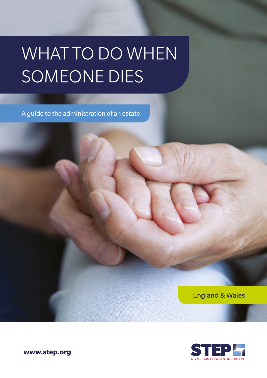# WHAT TO DO WHEN SOMEONE DIES

A guide to the administration of an estate

England & Wales



**www.step.org**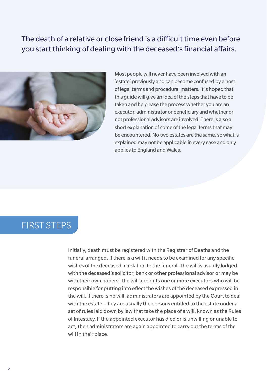### The death of a relative or close friend is a difficult time even before you start thinking of dealing with the deceased's financial affairs.



Most people will never have been involved with an 'estate' previously and can become confused by a host of legal terms and procedural matters. It is hoped that this guide will give an idea of the steps that have to be taken and help ease the process whether you are an executor, administrator or beneficiary and whether or not professional advisors are involved. There is also a short explanation of some of the legal terms that may be encountered. No two estates are the same, so what is explained may not be applicable in every case and only applies to England and Wales.

### FIRST STEPS

Initially, death must be registered with the Registrar of Deaths and the funeral arranged. If there is a will it needs to be examined for any specific wishes of the deceased in relation to the funeral. The will is usually lodged with the deceased's solicitor, bank or other professional advisor or may be with their own papers. The will appoints one or more executors who will be responsible for putting into effect the wishes of the deceased expressed in the will. If there is no will, administrators are appointed by the Court to deal with the estate. They are usually the persons entitled to the estate under a set of rules laid down by law that take the place of a will, known as the Rules of Intestacy. If the appointed executor has died or is unwilling or unable to act, then administrators are again appointed to carry out the terms of the will in their place.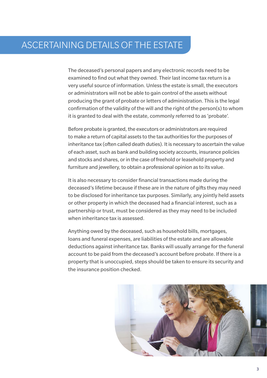### ASCERTAINING DETAILS OF THE ESTATE

The deceased's personal papers and any electronic records need to be examined to find out what they owned. Their last income tax return is a very useful source of information. Unless the estate is small, the executors or administrators will not be able to gain control of the assets without producing the grant of probate or letters of administration. This is the legal confirmation of the validity of the will and the right of the person(s) to whom it is granted to deal with the estate, commonly referred to as 'probate'.

Before probate is granted, the executors or administrators are required to make a return of capital assets to the tax authorities for the purposes of inheritance tax (often called death duties). It is necessary to ascertain the value of each asset, such as bank and building society accounts, insurance policies and stocks and shares, or in the case of freehold or leasehold property and furniture and jewellery, to obtain a professional opinion as to its value.

It is also necessary to consider financial transactions made during the deceased's lifetime because if these are in the nature of gifts they may need to be disclosed for inheritance tax purposes. Similarly, any jointly held assets or other property in which the deceased had a financial interest, such as a partnership or trust, must be considered as they may need to be included when inheritance tax is assessed.

Anything owed by the deceased, such as household bills, mortgages, loans and funeral expenses, are liabilities of the estate and are allowable deductions against inheritance tax. Banks will usually arrange for the funeral account to be paid from the deceased's account before probate. If there is a property that is unoccupied, steps should be taken to ensure its security and the insurance position checked.

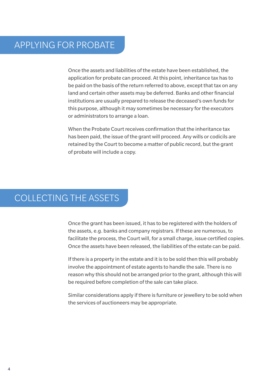Once the assets and liabilities of the estate have been established, the application for probate can proceed. At this point, inheritance tax has to be paid on the basis of the return referred to above, except that tax on any land and certain other assets may be deferred. Banks and other financial institutions are usually prepared to release the deceased's own funds for this purpose, although it may sometimes be necessary for the executors or administrators to arrange a loan.

When the Probate Court receives confirmation that the inheritance tax has been paid, the issue of the grant will proceed. Any wills or codicils are retained by the Court to become a matter of public record, but the grant of probate will include a copy.

## COLLECTING THE ASSETS

Once the grant has been issued, it has to be registered with the holders of the assets, e.g. banks and company registrars. If these are numerous, to facilitate the process, the Court will, for a small charge, issue certified copies. Once the assets have been released, the liabilities of the estate can be paid.

If there is a property in the estate and it is to be sold then this will probably involve the appointment of estate agents to handle the sale. There is no reason why this should not be arranged prior to the grant, although this will be required before completion of the sale can take place.

Similar considerations apply if there is furniture or jewellery to be sold when the services of auctioneers may be appropriate.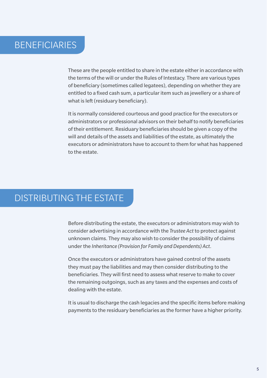## **BENEFICIARIES**

These are the people entitled to share in the estate either in accordance with the terms of the will or under the Rules of Intestacy. There are various types of beneficiary (sometimes called legatees), depending on whether they are entitled to a fixed cash sum, a particular item such as jewellery or a share of what is left (residuary beneficiary).

It is normally considered courteous and good practice for the executors or administrators or professional advisors on their behalf to notify beneficiaries of their entitlement. Residuary beneficiaries should be given a copy of the will and details of the assets and liabilities of the estate, as ultimately the executors or administrators have to account to them for what has happened to the estate.

### DISTRIBUTING THE ESTATE

Before distributing the estate, the executors or administrators may wish to consider advertising in accordance with the *Trustee Act* to protect against unknown claims. They may also wish to consider the possibility of claims under the *Inheritance (Provision for Family and Dependents) Act*.

Once the executors or administrators have gained control of the assets they must pay the liabilities and may then consider distributing to the beneficiaries. They will first need to assess what reserve to make to cover the remaining outgoings, such as any taxes and the expenses and costs of dealing with the estate.

It is usual to discharge the cash legacies and the specific items before making payments to the residuary beneficiaries as the former have a higher priority.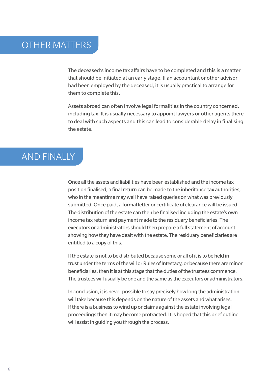### OTHER MATTERS

The deceased's income tax affairs have to be completed and this is a matter that should be initiated at an early stage. If an accountant or other advisor had been employed by the deceased, it is usually practical to arrange for them to complete this.

Assets abroad can often involve legal formalities in the country concerned, including tax. It is usually necessary to appoint lawyers or other agents there to deal with such aspects and this can lead to considerable delay in finalising the estate.

### AND FINALLY

Once all the assets and liabilities have been established and the income tax position finalised, a final return can be made to the inheritance tax authorities, who in the meantime may well have raised queries on what was previously submitted. Once paid, a formal letter or certificate of clearance will be issued. The distribution of the estate can then be finalised including the estate's own income tax return and payment made to the residuary beneficiaries. The executors or administrators should then prepare a full statement of account showing how they have dealt with the estate. The residuary beneficiaries are entitled to a copy of this.

If the estate is not to be distributed because some or all of it is to be held in trust under the terms of the will or Rules of Intestacy, or because there are minor beneficiaries, then it is at this stage that the duties of the trustees commence. The trustees will usually be one and the same as the executors or administrators.

In conclusion, it is never possible to say precisely how long the administration will take because this depends on the nature of the assets and what arises. If there is a business to wind up or claims against the estate involving legal proceedings then it may become protracted. It is hoped that this brief outline will assist in guiding you through the process.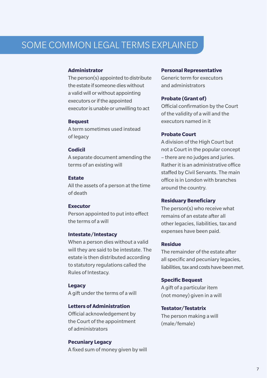# SOME COMMON LEGAL TERMS EXPLAINED

#### **Administrator**

The person(s) appointed to distribute the estate if someone dies without a valid will or without appointing executors or if the appointed executor is unable or unwilling to act

#### **Bequest**

A term sometimes used instead of legacy

#### **Codicil**

A separate document amending the terms of an existing will

#### **Estate**

All the assets of a person at the time of death

#### **Executor**

Person appointed to put into effect the terms of a will

#### **Intestate/Intestacy**

When a person dies without a valid will they are said to be intestate. The estate is then distributed according to statutory regulations called the Rules of Intestacy.

#### **Legacy**

A gift under the terms of a will

#### **Letters of Administration**

Official acknowledgement by the Court of the appointment of administrators

**Pecuniary Legacy** A fixed sum of money given by will

#### **Personal Representative**

Generic term for executors and administrators

#### **Probate (Grant of)**

Official confirmation by the Court of the validity of a will and the executors named in it

#### **Probate Court**

A division of the High Court but not a Court in the popular concept – there are no judges and juries. Rather it is an administrative office staffed by Civil Servants. The main office is in London with branches around the country.

#### **Residuary Beneficiary**

The person(s) who receive what remains of an estate after all other legacies, liabilities, tax and expenses have been paid.

#### **Residue**

The remainder of the estate after all specific and pecuniary legacies, liabilities, tax and costs have been met.

#### **Specific Bequest**

A gift of a particular item (not money) given in a will

#### **Testator/Testatrix**

The person making a will (male/female)